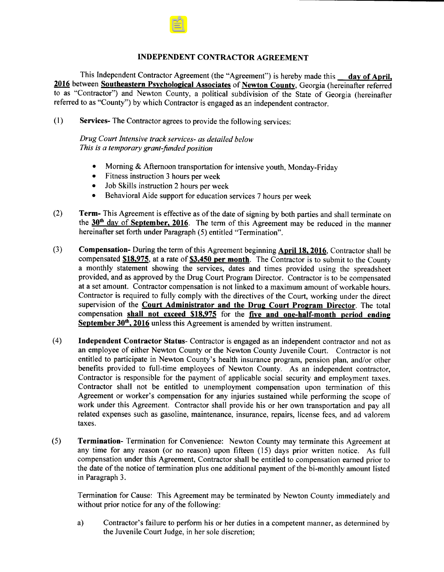## INDEPENDENT CONTRACTOR AGREEMENT

This Independent Contractor Agreement (the "Agreement") is hereby made this \_\_ day of April, 2016 between Southeastern Psychological Associates of Newton County, Georgia (hereinafter referred to as " Contractor") and Newton County, a political subdivision of the State of Georgia ( hereinafter referred to as "County") by which Contractor is engaged as an independent contractor.

1) Services- The Contractor agrees to provide the following services:

Drug Court Intensive track services- as detailed below This is a temporary grant-funded position

- Morning& Afternoon transportation for intensive youth, Monday-Friday
- Fitness instruction 3 hours per week
- Job Skills instruction 2 hours per week  $\bullet$
- Behavioral Aide support for education services 7 hours per week  $\bullet$
- 2) Term- This Agreement is effective as of the date of signing by both parties and shall terminate on the 30<sup>th</sup> day of September, 2016. The term of this Agreement may be reduced in the manner hereinafter set forth under Paragraph (5) entitled "Termination".
- 3) Compensation- During the term of this Agreement beginning April 18, 2016, Contractor shall be compensated  $$18,975$ , at a rate of  $$3,450$  per month. The Contractor is to submit to the County a monthly statement showing the services, dates and times provided using the spreadsheet provided, and as approved by the Drug Court Program Director. Contractor is to be compensated at <sup>a</sup> set amount. Contractor compensation is not linked to <sup>a</sup> maximum amount of workable hours. Contractor is required to fully comply with the directives of the Court, working under the direct supervision of the Court Administrator and the Drug Court Program Director. The total compensation shall not exceed  $$18,975$  for the five and one-half-month period ending September 30<sup>th</sup>, 2016 unless this Agreement is amended by written instrument.
- 4) Independent Contractor Status- Contractor is engaged as an independent contractor and not as an employee of either Newton County or the Newton County Juvenile Court. Contractor is not entitled to participate in Newton County's health insurance program, pension plan, and/or other benefits provided to full-time employees of Newton County. As an independent contractor, Contractor is responsible for the payment of applicable social security and employment taxes. Contractor shall not be entitled to unemployment compensation upon termination of this Agreement or worker's compensation for any injuries sustained while performing the scope of work under this Agreement. Contractor shall provide his or her own transportation and pay all related expenses such as gasoline, maintenance, insurance, repairs, license fees, and ad valorem taxes.
- 5) Termination- Termination for Convenience: Newton County may terminate this Agreement at any time for any reason (or no reason) upon fifteen (15) days prior written notice. As full compensation under this Agreement, Contractor shall be entitled to compensation earned prior to the date of the notice of termination plus one additional payment of the bi-monthly amount listed in Paragraph 3.

Termination for Cause: This Agreement may be terminated by Newton County immediately and without prior notice for any of the following:

a) Contractor's failure to perform his or her duties in a competent manner, as determined by the Juvenile Court Judge, in her sole discretion;